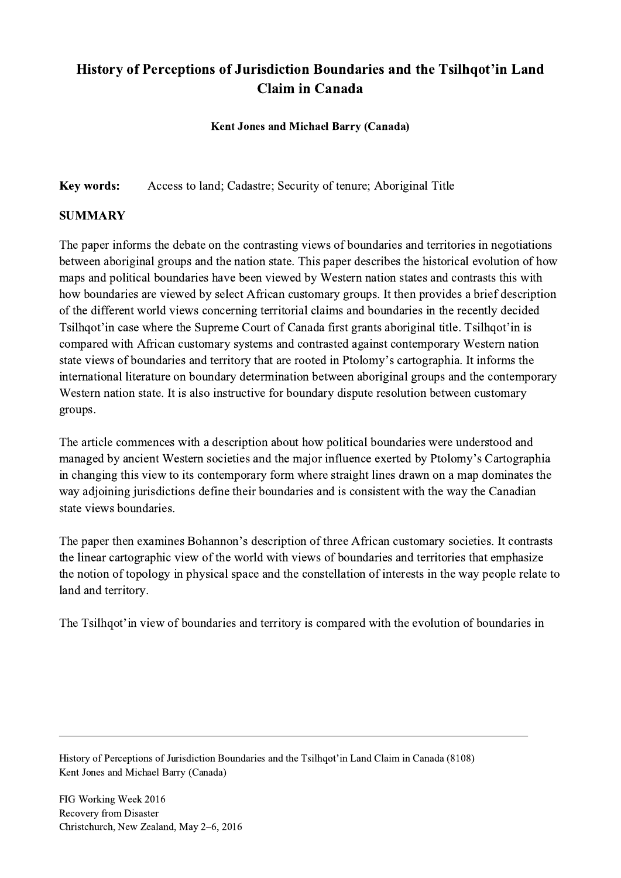## History of Perceptions of Jurisdiction Boundaries and the Tsilhqot'in Land Claim in Canada

## Kent Jones and Michael Barry (Canada)

Key words: Access to land; Cadastre; Security of tenure; Aboriginal Title

## SUMMARY

The paper informs the debate on the contrasting views of boundaries and territories in negotiations between aboriginal groups and the nation state. This paper describes the historical evolution of how maps and political boundaries have been viewed by Western nation states and contrasts this with how boundaries are viewed by select African customary groups. It then provides a brief description of the different world views concerning territorial claims and boundaries in the recently decided Tsilhqot'in case where the Supreme Court of Canada first grants aboriginal title. Tsilhqot'in is compared with African customary systems and contrasted against contemporary Western nation state views of boundaries and territory that are rooted in Ptolomy's cartographia. It informs the international literature on boundary determination between aboriginal groups and the contemporary Western nation state. It is also instructive for boundary dispute resolution between customary groups.

The article commences with a description about how political boundaries were understood and managed by ancient Western societies and the major influence exerted by Ptolomy's Cartographia in changing this view to its contemporary form where straight lines drawn on a map dominates the way adjoining jurisdictions define their boundaries and is consistent with the way the Canadian state views boundaries.

The paper then examines Bohannon's description of three African customary societies. It contrasts the linear cartographic view of the world with views of boundaries and territories that emphasize the notion of topology in physical space and the constellation of interests in the way people relate to land and territory.

The Tsilhqot'in view of boundaries and territory is compared with the evolution of boundaries in

 $\mathcal{L}_\mathcal{L} = \{ \mathcal{L}_\mathcal{L} = \{ \mathcal{L}_\mathcal{L} = \{ \mathcal{L}_\mathcal{L} = \{ \mathcal{L}_\mathcal{L} = \{ \mathcal{L}_\mathcal{L} = \{ \mathcal{L}_\mathcal{L} = \{ \mathcal{L}_\mathcal{L} = \{ \mathcal{L}_\mathcal{L} = \{ \mathcal{L}_\mathcal{L} = \{ \mathcal{L}_\mathcal{L} = \{ \mathcal{L}_\mathcal{L} = \{ \mathcal{L}_\mathcal{L} = \{ \mathcal{L}_\mathcal{L} = \{ \mathcal{L}_\mathcal{$ 

History of Perceptions of Jurisdiction Boundaries and the Tsilhqot'in Land Claim in Canada (8108) Kent Jones and Michael Barry (Canada)

FIG Working Week 2016 Recovery from Disaster Christchurch, New Zealand, May 2–6, 2016